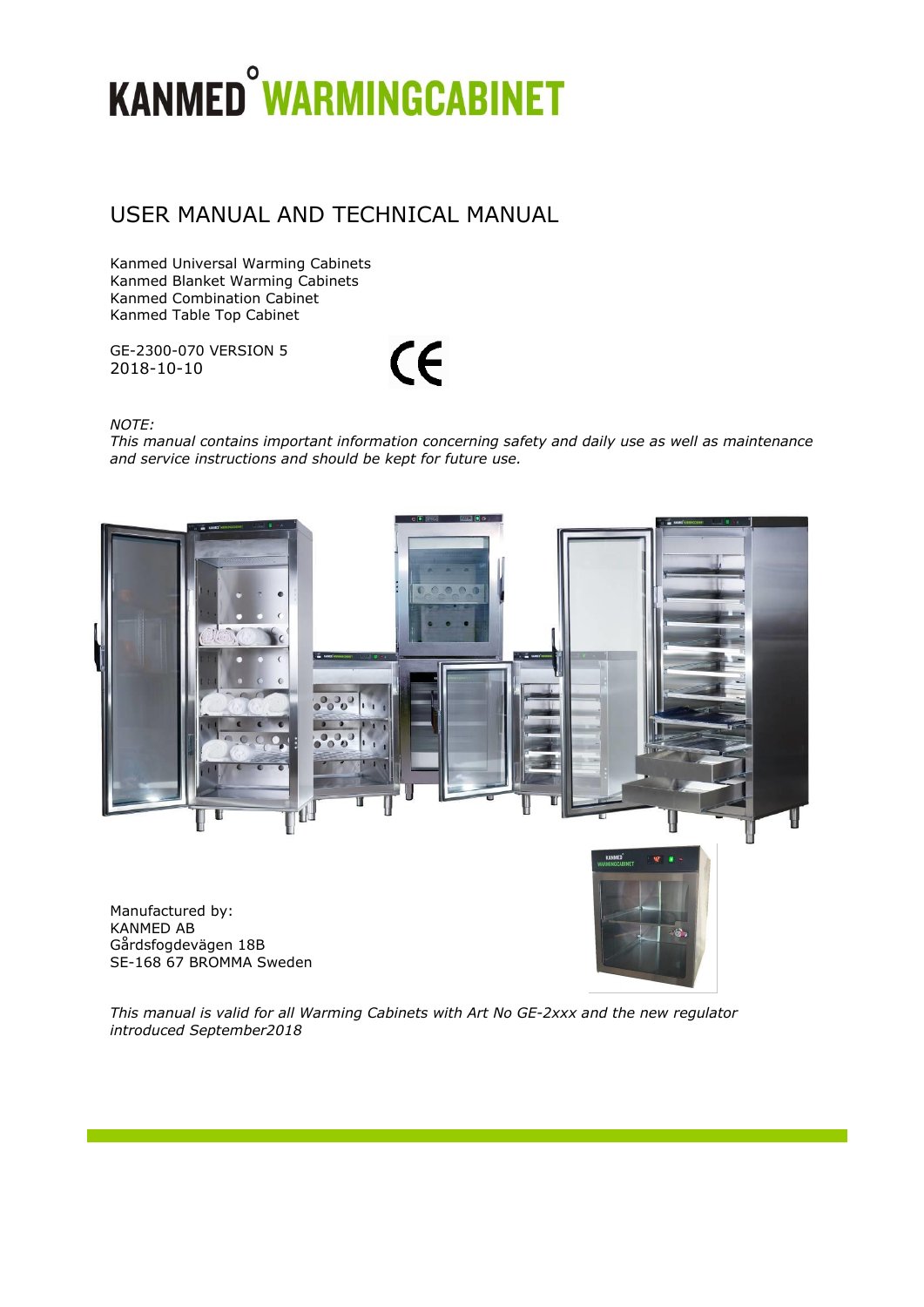# **KANMED<sup>°</sup>WARMINGCABINET**

# USER MANUAL AND TECHNICAL MANUAL

Kanmed Universal Warming Cabinets Kanmed Blanket Warming Cabinets Kanmed Combination Cabinet Kanmed Table Top Cabinet

GE-2300-070 VERSION 5 2018-10-10

 $\epsilon$ 

*NOTE:* 

*This manual contains important information concerning safety and daily use as well as maintenance and service instructions and should be kept for future use.*



*This manual is valid for all Warming Cabinets with Art No GE-2xxx and the new regulator introduced September2018*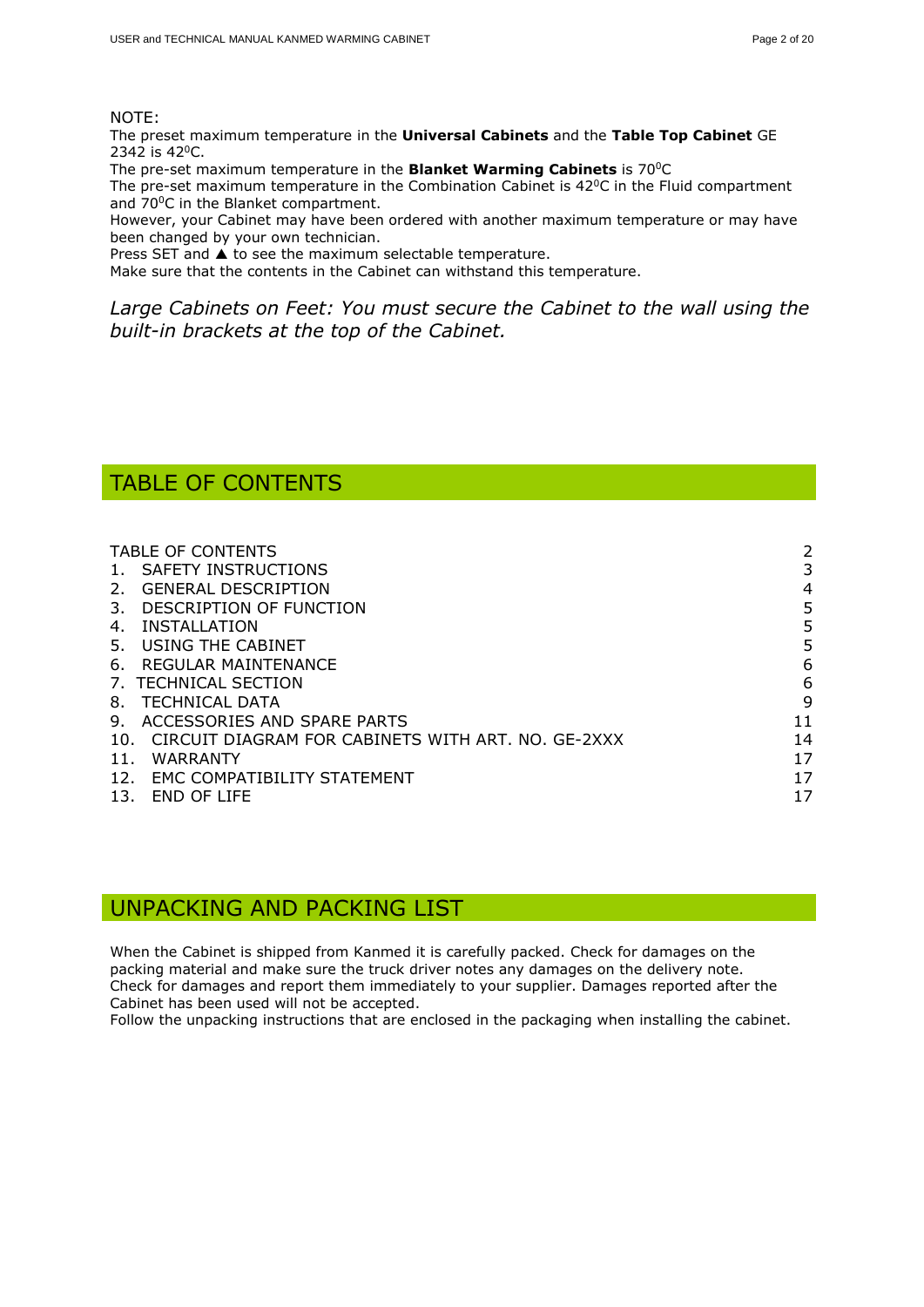#### NOTE:

The preset maximum temperature in the **Universal Cabinets** and the **Table Top Cabinet** GE 2342 is 42<sup>0</sup>C.

The pre-set maximum temperature in the **Blanket Warming Cabinets** is 70<sup>0</sup>C

The pre-set maximum temperature in the Combination Cabinet is  $42^{\circ}$ C in the Fluid compartment and 70<sup>o</sup>C in the Blanket compartment.

However, your Cabinet may have been ordered with another maximum temperature or may have been changed by your own technician.

Press SET and  $\blacktriangle$  to see the maximum selectable temperature.

Make sure that the contents in the Cabinet can withstand this temperature.

*Large Cabinets on Feet: You must secure the Cabinet to the wall using the built-in brackets at the top of the Cabinet.*

# <span id="page-1-0"></span>TABLE OF CONTENTS

| <b>TABLE OF CONTENTS</b>                                  | 2  |
|-----------------------------------------------------------|----|
| SAFETY INSTRUCTIONS                                       |    |
| <b>GENERAL DESCRIPTION</b><br>2.                          | 4  |
| DESCRIPTION OF FUNCTION<br>3.                             | 5  |
| INSTALLATION<br>4.                                        | 5  |
| USING THE CABINET<br>5.                                   | 5  |
| REGULAR MAINTENANCE<br>6.                                 | 6  |
| 7. TECHNICAL SECTION                                      | 6  |
| TECHNICAL DATA<br>8.                                      | 9  |
| ACCESSORIES AND SPARE PARTS<br>9.                         | 11 |
| CIRCUIT DIAGRAM FOR CABINETS WITH ART. NO. GE-2XXX<br>10. | 14 |
| <b>WARRANTY</b><br>11.                                    | 17 |
| EMC COMPATIBILITY STATEMENT<br>12.                        | 17 |
| <b>END OF LIFE</b><br>13.                                 | 17 |
|                                                           |    |

## UNPACKING AND PACKING LIST

When the Cabinet is shipped from Kanmed it is carefully packed. Check for damages on the packing material and make sure the truck driver notes any damages on the delivery note. Check for damages and report them immediately to your supplier. Damages reported after the Cabinet has been used will not be accepted.

Follow the unpacking instructions that are enclosed in the packaging when installing the cabinet.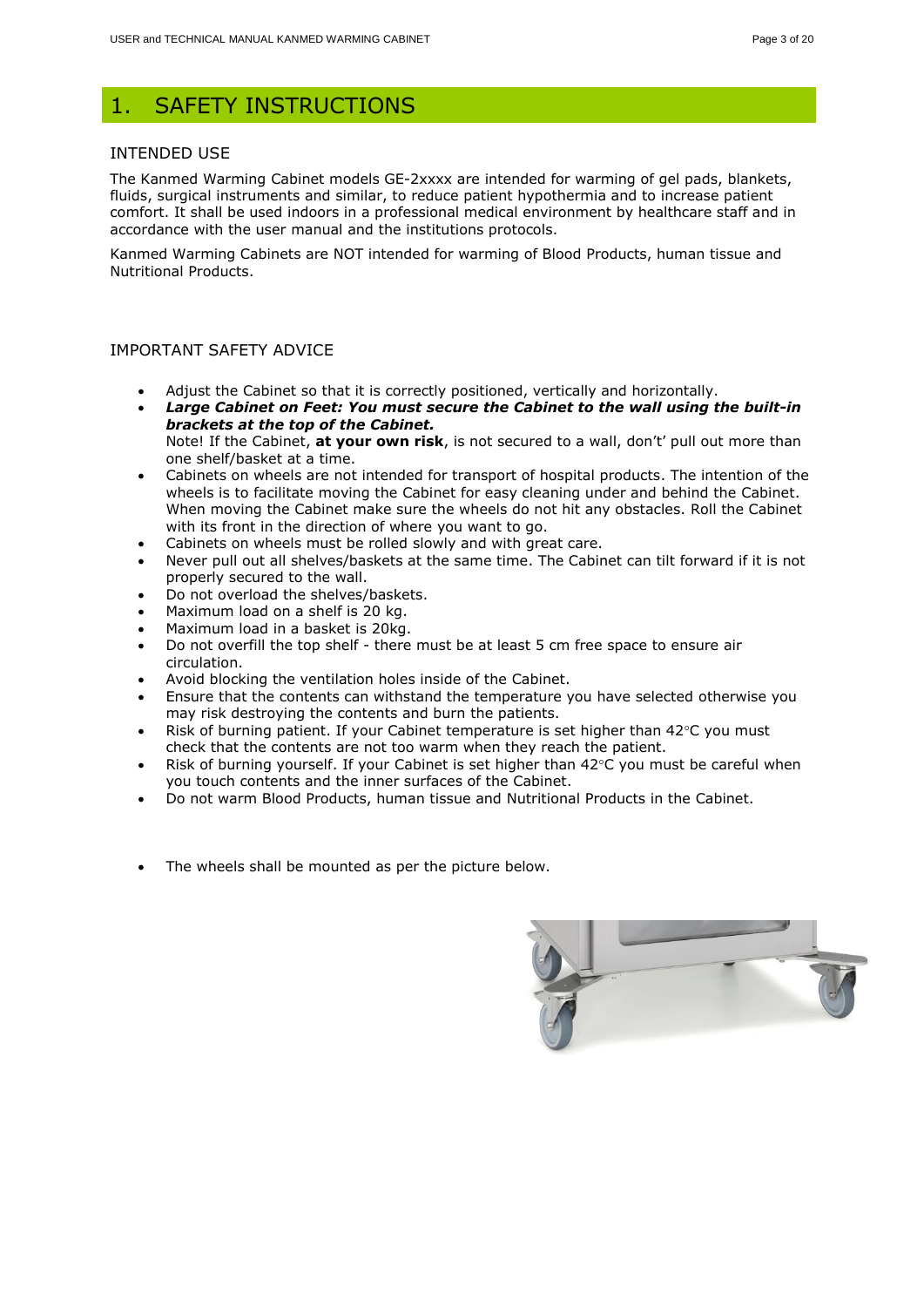## <span id="page-2-0"></span>1. SAFETY INSTRUCTIONS

#### INTENDED USE

The Kanmed Warming Cabinet models GE-2xxxx are intended for warming of gel pads, blankets, fluids, surgical instruments and similar, to reduce patient hypothermia and to increase patient comfort. It shall be used indoors in a professional medical environment by healthcare staff and in accordance with the user manual and the institutions protocols.

Kanmed Warming Cabinets are NOT intended for warming of Blood Products, human tissue and Nutritional Products.

#### IMPORTANT SAFETY ADVICE

- Adjust the Cabinet so that it is correctly positioned, vertically and horizontally.
- *Large Cabinet on Feet: You must secure the Cabinet to the wall using the built-in brackets at the top of the Cabinet.*

Note! If the Cabinet, **at your own risk**, is not secured to a wall, don't' pull out more than one shelf/basket at a time.

- Cabinets on wheels are not intended for transport of hospital products. The intention of the wheels is to facilitate moving the Cabinet for easy cleaning under and behind the Cabinet. When moving the Cabinet make sure the wheels do not hit any obstacles. Roll the Cabinet with its front in the direction of where you want to go.
- Cabinets on wheels must be rolled slowly and with great care.
- Never pull out all shelves/baskets at the same time. The Cabinet can tilt forward if it is not properly secured to the wall.
- Do not overload the shelves/baskets.
- Maximum load on a shelf is 20 kg.
- Maximum load in a basket is 20kg.
- Do not overfill the top shelf there must be at least 5 cm free space to ensure air circulation.
- Avoid blocking the ventilation holes inside of the Cabinet.
- Ensure that the contents can withstand the temperature you have selected otherwise you may risk destroying the contents and burn the patients.
- Risk of burning patient. If your Cabinet temperature is set higher than  $42^{\circ}$ C you must check that the contents are not too warm when they reach the patient.
- Risk of burning yourself. If your Cabinet is set higher than  $42^{\circ}$ C you must be careful when you touch contents and the inner surfaces of the Cabinet.
- Do not warm Blood Products, human tissue and Nutritional Products in the Cabinet.
- The wheels shall be mounted as per the picture below.

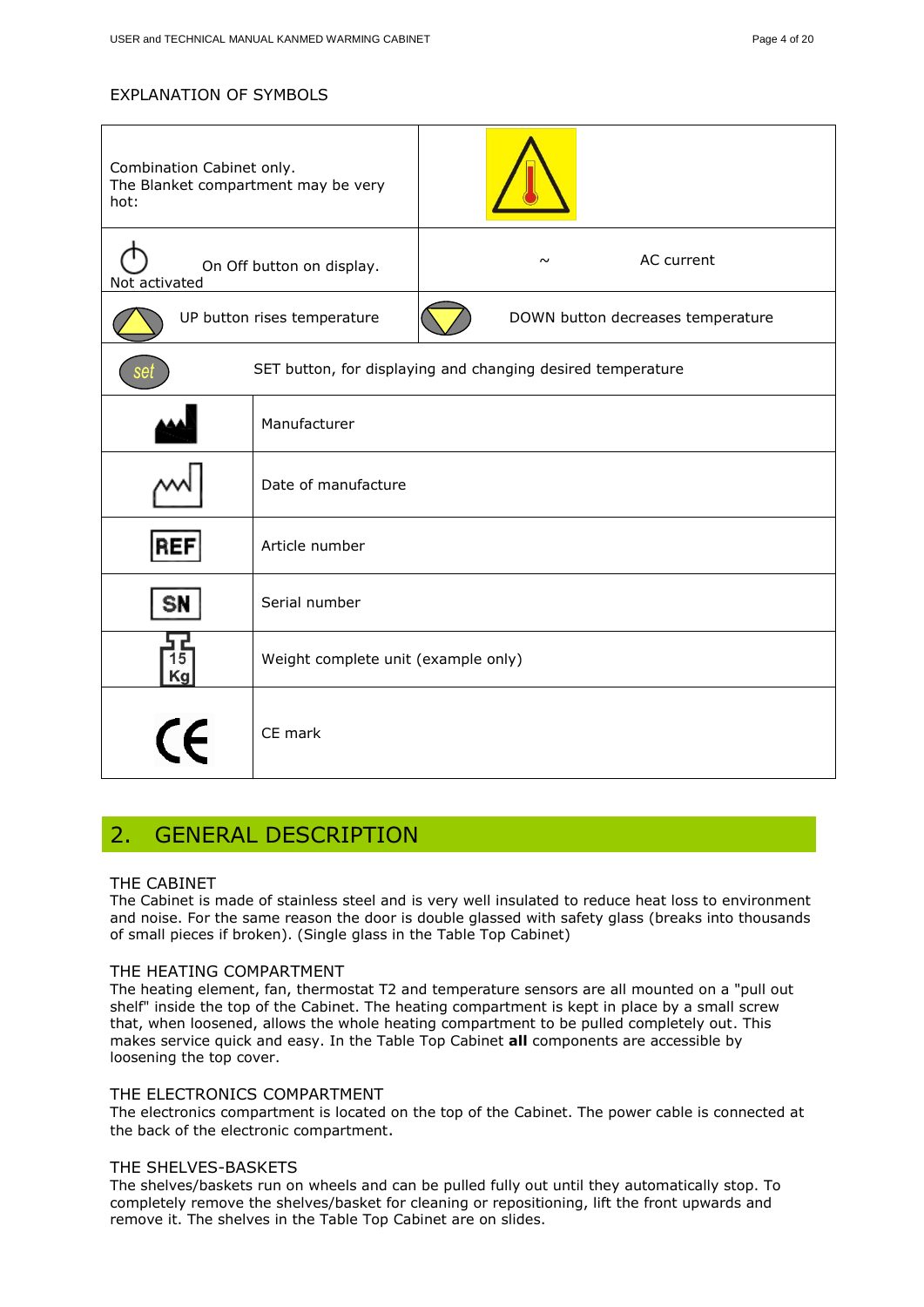#### EXPLANATION OF SYMBOLS

| Combination Cabinet only.<br>The Blanket compartment may be very<br>hot: |                                                             |        |                                   |
|--------------------------------------------------------------------------|-------------------------------------------------------------|--------|-----------------------------------|
| On Off button on display.<br>Not activated                               |                                                             | $\sim$ | AC current                        |
| UP button rises temperature                                              |                                                             |        | DOWN button decreases temperature |
| set                                                                      | SET button, for displaying and changing desired temperature |        |                                   |
|                                                                          | Manufacturer                                                |        |                                   |
|                                                                          | Date of manufacture                                         |        |                                   |
| REF                                                                      | Article number                                              |        |                                   |
| SN                                                                       | Serial number                                               |        |                                   |
| 15<br>Kg                                                                 | Weight complete unit (example only)                         |        |                                   |
| (C                                                                       | CE mark                                                     |        |                                   |

# <span id="page-3-0"></span>2. GENERAL DESCRIPTION

#### THE CABINET

The Cabinet is made of stainless steel and is very well insulated to reduce heat loss to environment and noise. For the same reason the door is double glassed with safety glass (breaks into thousands of small pieces if broken). (Single glass in the Table Top Cabinet)

#### THE HEATING COMPARTMENT

The heating element, fan, thermostat T2 and temperature sensors are all mounted on a "pull out shelf" inside the top of the Cabinet. The heating compartment is kept in place by a small screw that, when loosened, allows the whole heating compartment to be pulled completely out. This makes service quick and easy. In the Table Top Cabinet **all** components are accessible by loosening the top cover.

#### THE ELECTRONICS COMPARTMENT

The electronics compartment is located on the top of the Cabinet. The power cable is connected at the back of the electronic compartment.

#### THE SHELVES-BASKETS

The shelves/baskets run on wheels and can be pulled fully out until they automatically stop. To completely remove the shelves/basket for cleaning or repositioning, lift the front upwards and remove it. The shelves in the Table Top Cabinet are on slides.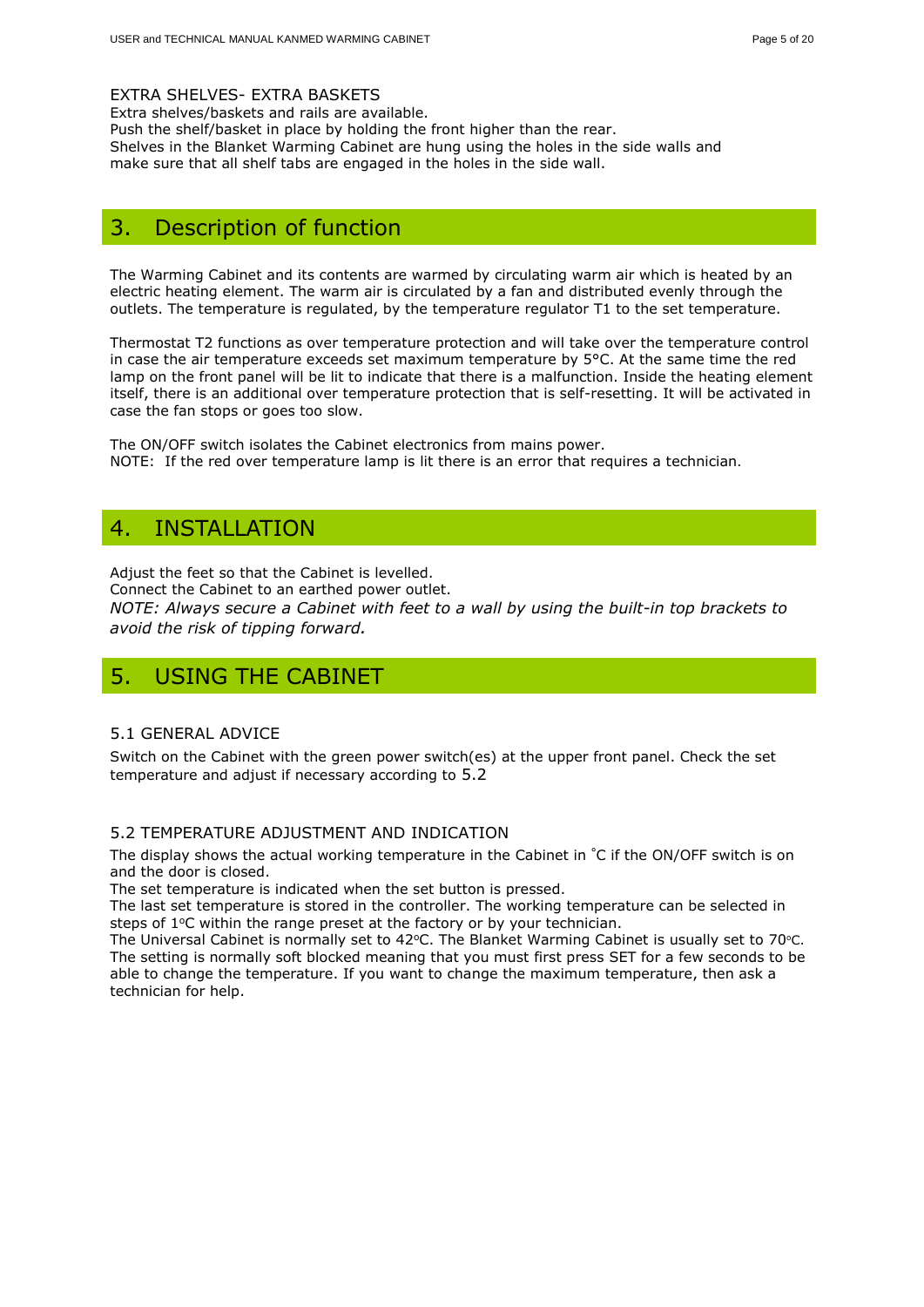#### EXTRA SHELVES- EXTRA BASKETS

Extra shelves/baskets and rails are available. Push the shelf/basket in place by holding the front higher than the rear. Shelves in the Blanket Warming Cabinet are hung using the holes in the side walls and make sure that all shelf tabs are engaged in the holes in the side wall.

# <span id="page-4-0"></span>3. Description of function

The Warming Cabinet and its contents are warmed by circulating warm air which is heated by an electric heating element. The warm air is circulated by a fan and distributed evenly through the outlets. The temperature is regulated, by the temperature regulator T1 to the set temperature.

Thermostat T2 functions as over temperature protection and will take over the temperature control in case the air temperature exceeds set maximum temperature by 5°C. At the same time the red lamp on the front panel will be lit to indicate that there is a malfunction. Inside the heating element itself, there is an additional over temperature protection that is self-resetting. It will be activated in case the fan stops or goes too slow.

The ON/OFF switch isolates the Cabinet electronics from mains power. NOTE: If the red over temperature lamp is lit there is an error that requires a technician.

# <span id="page-4-1"></span>4. INSTALLATION

Adjust the feet so that the Cabinet is levelled.

Connect the Cabinet to an earthed power outlet. *NOTE: Always secure a Cabinet with feet to a wall by using the built-in top brackets to avoid the risk of tipping forward.* 

# <span id="page-4-2"></span>5. USING THE CABINET

#### 5.1 GENERAL ADVICE

Switch on the Cabinet with the green power switch(es) at the upper front panel. Check the set temperature and adjust if necessary according to 5.2

#### 5.2 TEMPERATURE ADJUSTMENT AND INDICATION

The display shows the actual working temperature in the Cabinet in °C if the ON/OFF switch is on and the door is closed.

The set temperature is indicated when the set button is pressed.

The last set temperature is stored in the controller. The working temperature can be selected in steps of 1°C within the range preset at the factory or by your technician.

The Universal Cabinet is normally set to 42 $\degree$ C. The Blanket Warming Cabinet is usually set to 70 $\degree$ C. The setting is normally soft blocked meaning that you must first press SET for a few seconds to be able to change the temperature. If you want to change the maximum temperature, then ask a technician for help.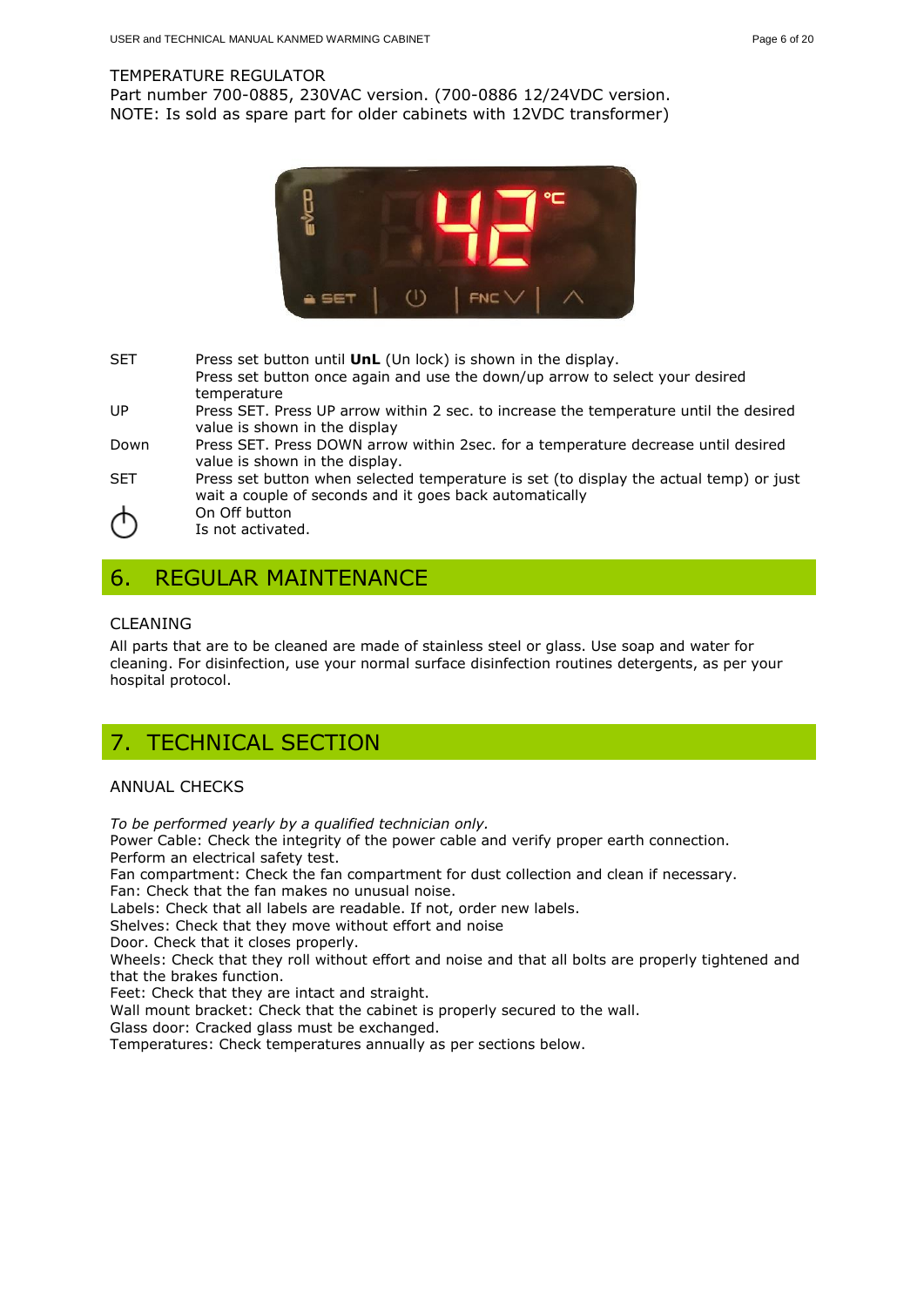#### TEMPERATURE REGULATOR

Part number 700-0885, 230VAC version. (700-0886 12/24VDC version. NOTE: Is sold as spare part for older cabinets with 12VDC transformer)



SET Press set button until **UnL** (Un lock) is shown in the display. Press set button once again and use the down/up arrow to select your desired temperature UP Press SET. Press UP arrow within 2 sec. to increase the temperature until the desired value is shown in the display Down Press SET. Press DOWN arrow within 2sec. for a temperature decrease until desired value is shown in the display. SET Press set button when selected temperature is set (to display the actual temp) or just wait a couple of seconds and it goes back automatically

<span id="page-5-0"></span>6. REGULAR MAINTENANCE

On Off button Is not activated.

#### CLEANING

All parts that are to be cleaned are made of stainless steel or glass. Use soap and water for cleaning. For disinfection, use your normal surface disinfection routines detergents, as per your hospital protocol.

# <span id="page-5-1"></span>7. TECHNICAL SECTION

#### ANNUAL CHECKS

*To be performed yearly by a qualified technician only.*

Power Cable: Check the integrity of the power cable and verify proper earth connection. Perform an electrical safety test.

Fan compartment: Check the fan compartment for dust collection and clean if necessary.

Fan: Check that the fan makes no unusual noise.

Labels: Check that all labels are readable. If not, order new labels.

Shelves: Check that they move without effort and noise

Door. Check that it closes properly.

Wheels: Check that they roll without effort and noise and that all bolts are properly tightened and that the brakes function.

Feet: Check that they are intact and straight.

Wall mount bracket: Check that the cabinet is properly secured to the wall.

Glass door: Cracked glass must be exchanged.

Temperatures: Check temperatures annually as per sections below.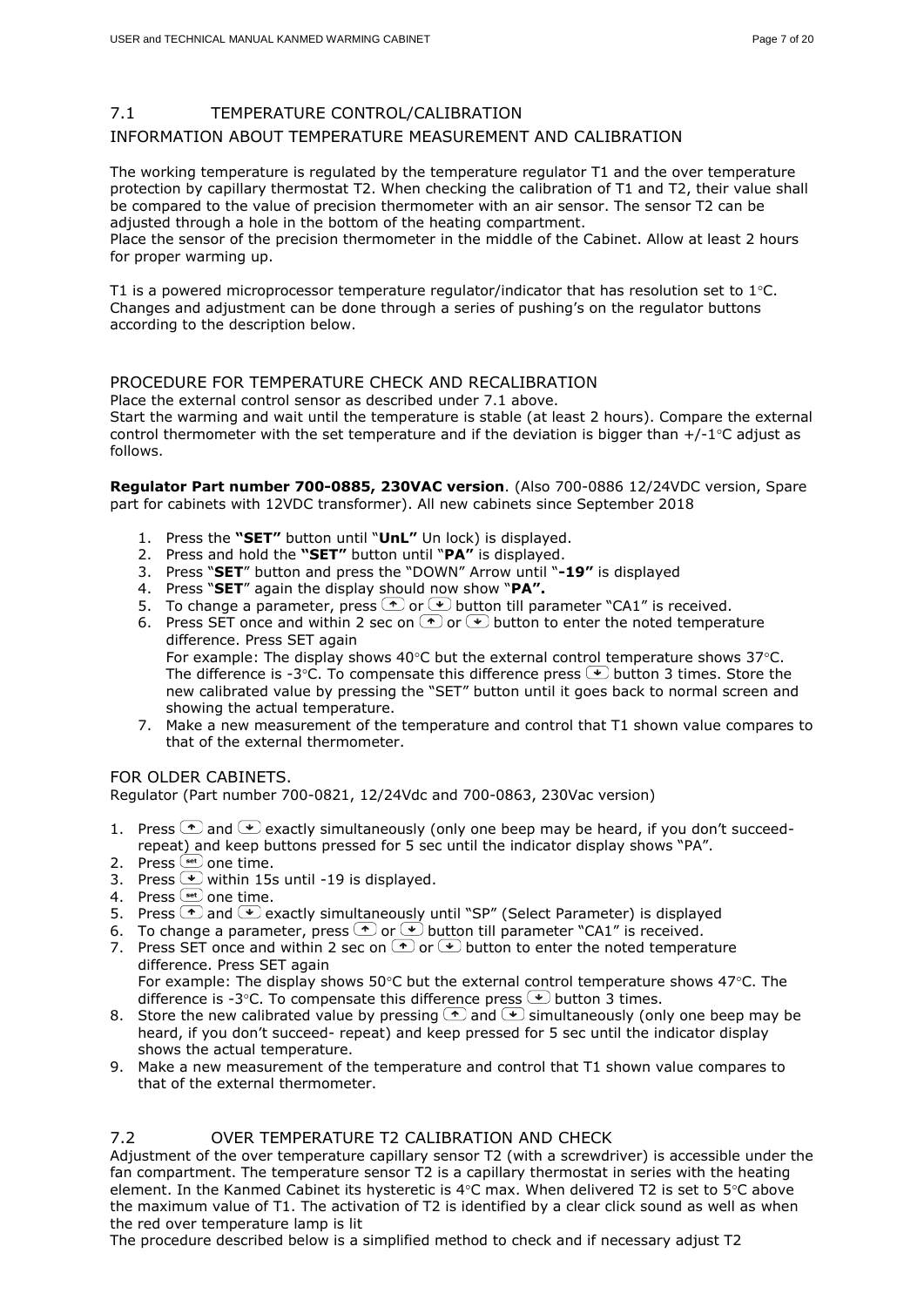#### 7.1 TEMPERATURE CONTROL/CALIBRATION

#### INFORMATION ABOUT TEMPERATURE MEASUREMENT AND CALIBRATION

The working temperature is regulated by the temperature regulator T1 and the over temperature protection by capillary thermostat T2. When checking the calibration of T1 and T2, their value shall be compared to the value of precision thermometer with an air sensor. The sensor T2 can be adjusted through a hole in the bottom of the heating compartment.

Place the sensor of the precision thermometer in the middle of the Cabinet. Allow at least 2 hours for proper warming up.

T1 is a powered microprocessor temperature regulator/indicator that has resolution set to  $1^{\circ}$ C. Changes and adjustment can be done through a series of pushing's on the regulator buttons according to the description below.

#### PROCEDURE FOR TEMPERATURE CHECK AND RECALIBRATION

Place the external control sensor as described under 7.1 above. Start the warming and wait until the temperature is stable (at least 2 hours). Compare the external control thermometer with the set temperature and if the deviation is bigger than  $+/-1$ °C adjust as follows.

**Regulator Part number 700-0885, 230VAC version**. (Also 700-0886 12/24VDC version, Spare part for cabinets with 12VDC transformer). All new cabinets since September 2018

- 1. Press the **"SET"** button until "**UnL"** Un lock) is displayed.
- 2. Press and hold the **"SET"** button until "**PA"** is displayed.
- 3. Press "**SET**" button and press the "DOWN" Arrow until "**-19"** is displayed
- 4. Press "**SET**" again the display should now show "**PA".**
- 5. To change a parameter, press  $\left( \begin{matrix} \cdot \\ \cdot \end{matrix} \right)$  button till parameter "CA1" is received.
- 6. Press SET once and within 2 sec on  $\bigcirc$  or  $\bigcirc$  button to enter the noted temperature difference. Press SET again For example: The display shows  $40^{\circ}$ C but the external control temperature shows  $37^{\circ}$ C. The difference is -3°C. To compensate this difference press  $\bigodot$  button 3 times. Store the

new calibrated value by pressing the "SET" button until it goes back to normal screen and showing the actual temperature.

7. Make a new measurement of the temperature and control that T1 shown value compares to that of the external thermometer.

#### FOR OLDER CABINETS.

Regulator (Part number 700-0821, 12/24Vdc and 700-0863, 230Vac version)

- 1. Press  $\bigcirc$  and  $\bigcirc$  exactly simultaneously (only one beep may be heard, if you don't succeedrepeat) and keep buttons pressed for 5 sec until the indicator display shows "PA".
- 2. Press  $\frac{\text{Set}}{\text{set}}$  one time.
- 3. Press  $\cup$  within 15s until -19 is displayed.
- 4. Press  $<sup>(set)</sup>$  one time.</sup>
- 5. Press  $\bigcirc$  and  $\bigcirc$  exactly simultaneously until "SP" (Select Parameter) is displayed
- 6. To change a parameter, press  $\odot$  or  $\ddot{\bullet}$  button till parameter "CA1" is received.
- 7. Press SET once and within 2 sec on  $\bigcirc$  or  $\bigcirc$  button to enter the noted temperature difference. Press SET again

For example: The display shows  $50^{\circ}$ C but the external control temperature shows  $47^{\circ}$ C. The difference is -3°C. To compensate this difference press  $\bigtriangledown$  button 3 times.

- 8. Store the new calibrated value by pressing  $\bigcirc$  and  $\bigcirc$  simultaneously (only one beep may be heard, if you don't succeed- repeat) and keep pressed for 5 sec until the indicator display shows the actual temperature.
- 9. Make a new measurement of the temperature and control that T1 shown value compares to that of the external thermometer.

#### 7.2 OVER TEMPERATURE T2 CALIBRATION AND CHECK

Adjustment of the over temperature capillary sensor T2 (with a screwdriver) is accessible under the fan compartment. The temperature sensor T2 is a capillary thermostat in series with the heating element. In the Kanmed Cabinet its hysteretic is  $4^{\circ}$ C max. When delivered T2 is set to  $5^{\circ}$ C above the maximum value of T1. The activation of T2 is identified by a clear click sound as well as when the red over temperature lamp is lit

The procedure described below is a simplified method to check and if necessary adjust T2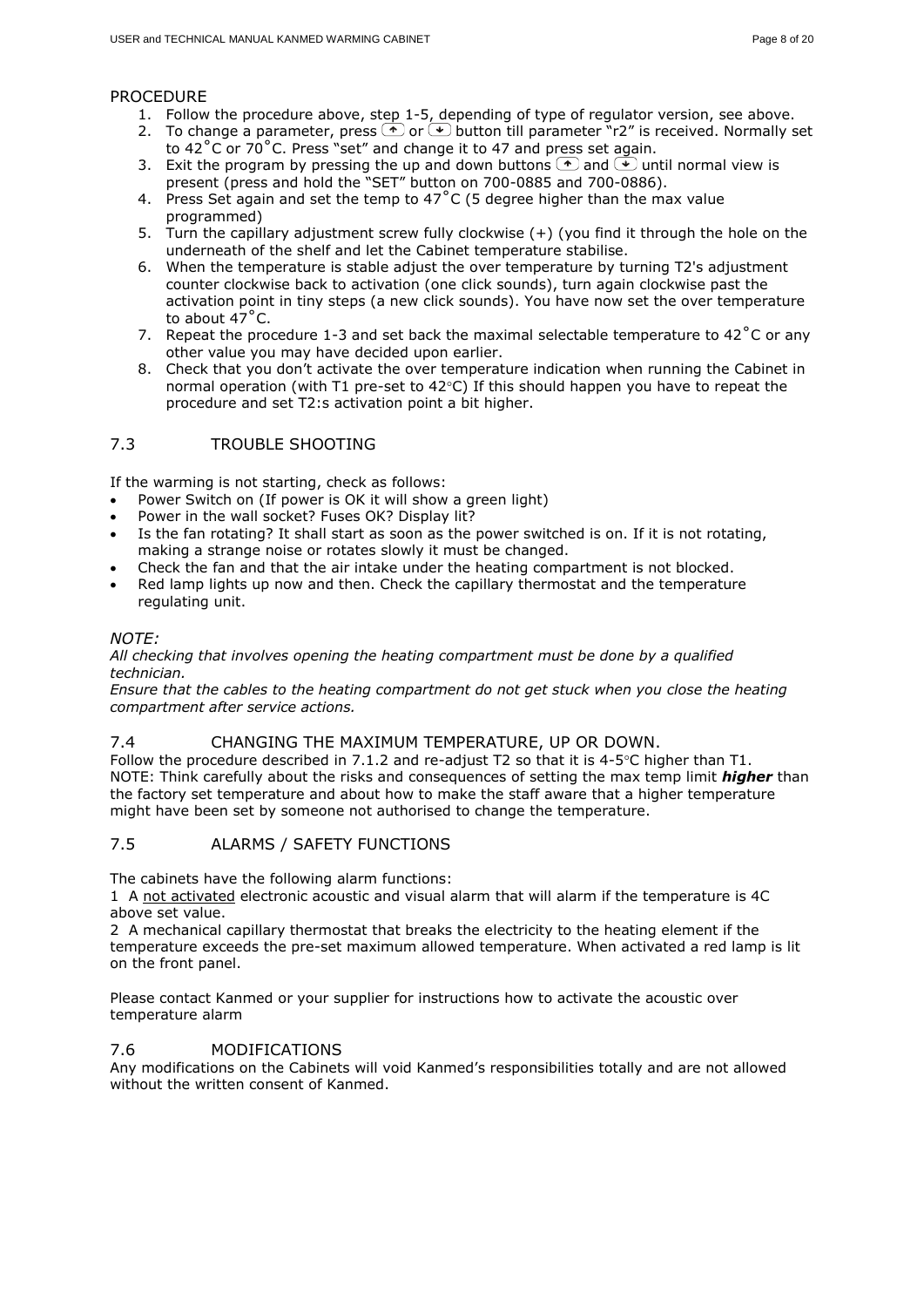#### PROCEDURE

- 1. Follow the procedure above, step 1-5, depending of type of regulator version, see above.
- 2. To change a parameter, press  $\bigodot$  or  $\bigodot$  button till parameter  $\bigcirc$ r2" is received. Normally set to  $42^{\circ}$ C or 70 $^{\circ}$ C. Press "set" and change it to 47 and press set again.
- 3. Exit the program by pressing the up and down buttons  $\bigcirc$  and  $\bigcirc$  until normal view is present (press and hold the "SET" button on 700-0885 and 700-0886).
- 4. Press Set again and set the temp to  $47^{\circ}$ C (5 degree higher than the max value programmed)
- 5. Turn the capillary adjustment screw fully clockwise (+) (you find it through the hole on the underneath of the shelf and let the Cabinet temperature stabilise.
- 6. When the temperature is stable adjust the over temperature by turning T2's adjustment counter clockwise back to activation (one click sounds), turn again clockwise past the activation point in tiny steps (a new click sounds). You have now set the over temperature to about 47˚C.
- 7. Repeat the procedure 1-3 and set back the maximal selectable temperature to 42 $^{\circ}$ C or any other value you may have decided upon earlier.
- 8. Check that you don't activate the over temperature indication when running the Cabinet in normal operation (with T1 pre-set to  $42^{\circ}$ C) If this should happen you have to repeat the procedure and set T2:s activation point a bit higher.

#### 7.3 TROUBLE SHOOTING

If the warming is not starting, check as follows:

- Power Switch on (If power is OK it will show a green light)
- Power in the wall socket? Fuses OK? Display lit?
- Is the fan rotating? It shall start as soon as the power switched is on. If it is not rotating, making a strange noise or rotates slowly it must be changed.
- Check the fan and that the air intake under the heating compartment is not blocked.
- Red lamp lights up now and then. Check the capillary thermostat and the temperature regulating unit.

#### *NOTE:*

#### *All checking that involves opening the heating compartment must be done by a qualified technician.*

*Ensure that the cables to the heating compartment do not get stuck when you close the heating compartment after service actions.*

#### 7.4 CHANGING THE MAXIMUM TEMPERATURE, UP OR DOWN.

Follow the procedure described in 7.1.2 and re-adjust T2 so that it is  $4-5^{\circ}$ C higher than T1. NOTE: Think carefully about the risks and consequences of setting the max temp limit *higher* than the factory set temperature and about how to make the staff aware that a higher temperature might have been set by someone not authorised to change the temperature.

#### 7.5 ALARMS / SAFETY FUNCTIONS

The cabinets have the following alarm functions:

1 A not activated electronic acoustic and visual alarm that will alarm if the temperature is 4C above set value.

2 A mechanical capillary thermostat that breaks the electricity to the heating element if the temperature exceeds the pre-set maximum allowed temperature. When activated a red lamp is lit on the front panel.

Please contact Kanmed or your supplier for instructions how to activate the acoustic over temperature alarm

#### 7.6 MODIFICATIONS

Any modifications on the Cabinets will void Kanmed's responsibilities totally and are not allowed without the written consent of Kanmed.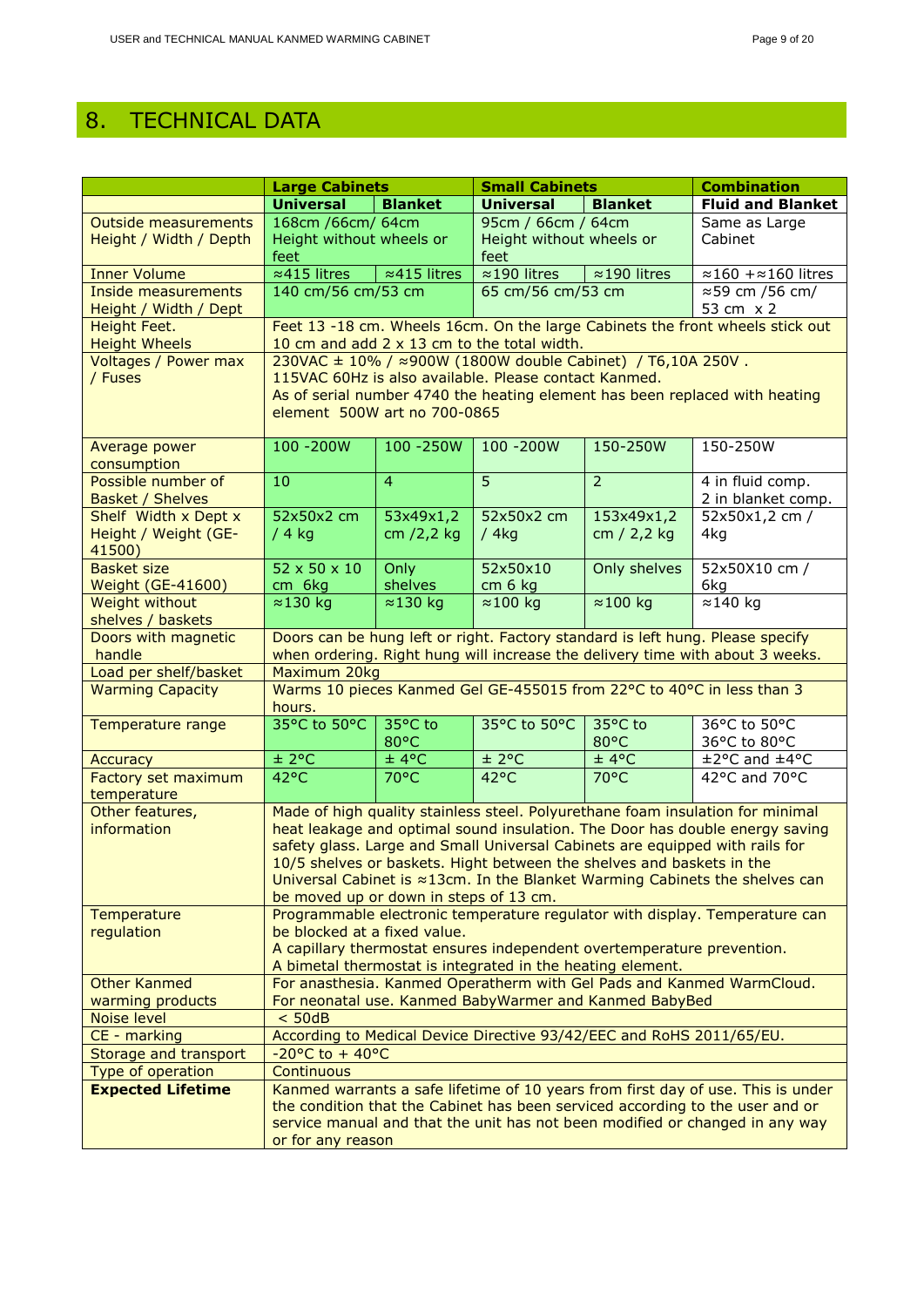# <span id="page-8-0"></span>8. TECHNICAL DATA

|                             | <b>Large Cabinets</b>                                                                                                                                             |                      | <b>Small Cabinets</b>                                                          |                      | <b>Combination</b>                                                             |
|-----------------------------|-------------------------------------------------------------------------------------------------------------------------------------------------------------------|----------------------|--------------------------------------------------------------------------------|----------------------|--------------------------------------------------------------------------------|
|                             | <b>Universal</b>                                                                                                                                                  | <b>Blanket</b>       | <b>Universal</b>                                                               | <b>Blanket</b>       | <b>Fluid and Blanket</b>                                                       |
| <b>Outside measurements</b> | 168cm /66cm/ 64cm                                                                                                                                                 |                      | 95cm / 66cm / 64cm                                                             |                      | Same as Large                                                                  |
| Height / Width / Depth      | Height without wheels or                                                                                                                                          |                      | Height without wheels or                                                       |                      | Cabinet                                                                        |
|                             | feet                                                                                                                                                              |                      | feet                                                                           |                      |                                                                                |
| <b>Inner Volume</b>         | $\approx$ 415 litres                                                                                                                                              | $\approx$ 415 litres | $\approx$ 190 litres                                                           | $\approx$ 190 litres | $\approx$ 160 + $\approx$ 160 litres                                           |
| <b>Inside measurements</b>  | 140 cm/56 cm/53 cm                                                                                                                                                |                      | 65 cm/56 cm/53 cm                                                              |                      | ≈59 cm /56 cm/                                                                 |
| Height / Width / Dept       |                                                                                                                                                                   |                      |                                                                                |                      | 53 cm x 2                                                                      |
| Height Feet.                |                                                                                                                                                                   |                      |                                                                                |                      | Feet 13 -18 cm. Wheels 16cm. On the large Cabinets the front wheels stick out  |
| <b>Height Wheels</b>        |                                                                                                                                                                   |                      | 10 cm and add 2 x 13 cm to the total width.                                    |                      |                                                                                |
| Voltages / Power max        |                                                                                                                                                                   |                      | $230\sqrt{AC} \pm 10\%$ / $\approx 900W$ (1800W double Cabinet) / T6,10A 250V. |                      |                                                                                |
| / Fuses                     |                                                                                                                                                                   |                      | 115VAC 60Hz is also available. Please contact Kanmed.                          |                      |                                                                                |
|                             |                                                                                                                                                                   |                      |                                                                                |                      | As of serial number 4740 the heating element has been replaced with heating    |
|                             | element 500W art no 700-0865                                                                                                                                      |                      |                                                                                |                      |                                                                                |
| Average power               | 100 - 200W                                                                                                                                                        | 100 - 250W           | 100 - 200W                                                                     | 150-250W             | 150-250W                                                                       |
| consumption                 |                                                                                                                                                                   |                      |                                                                                |                      |                                                                                |
| Possible number of          | 10                                                                                                                                                                | $\overline{4}$       | 5                                                                              | $\overline{2}$       | 4 in fluid comp.                                                               |
| <b>Basket / Shelves</b>     |                                                                                                                                                                   |                      |                                                                                |                      | 2 in blanket comp.                                                             |
| Shelf Width x Dept x        | 52x50x2 cm                                                                                                                                                        | 53x49x1,2            | 52x50x2 cm                                                                     | 153x49x1,2           | 52x50x1,2 cm /                                                                 |
| Height / Weight (GE-        | $/4$ kg                                                                                                                                                           | cm /2,2 kg           | /4kg                                                                           | cm $/$ 2,2 kg        | 4kg                                                                            |
| 41500)                      |                                                                                                                                                                   |                      |                                                                                |                      |                                                                                |
| <b>Basket size</b>          | 52 x 50 x 10                                                                                                                                                      | Only                 | 52x50x10                                                                       | Only shelves         | 52x50X10 cm /                                                                  |
| <b>Weight (GE-41600)</b>    | cm 6kg                                                                                                                                                            | shelves              | $cm6$ kg                                                                       |                      | 6kg                                                                            |
| Weight without              | $\approx$ 130 kg                                                                                                                                                  | $\approx$ 130 kg     | $\approx$ 100 kg                                                               | $\approx$ 100 kg     | $\approx$ 140 kg                                                               |
| shelves / baskets           |                                                                                                                                                                   |                      |                                                                                |                      |                                                                                |
| Doors with magnetic         |                                                                                                                                                                   |                      |                                                                                |                      | Doors can be hung left or right. Factory standard is left hung. Please specify |
| handle                      |                                                                                                                                                                   |                      |                                                                                |                      | when ordering. Right hung will increase the delivery time with about 3 weeks.  |
| Load per shelf/basket       | Maximum 20kg                                                                                                                                                      |                      |                                                                                |                      |                                                                                |
| <b>Warming Capacity</b>     |                                                                                                                                                                   |                      |                                                                                |                      | Warms 10 pieces Kanmed Gel GE-455015 from 22°C to 40°C in less than 3          |
|                             | hours.<br>35°C to 50°C                                                                                                                                            | 35°C to              | 35°C to 50°C                                                                   | 35°C to              | 36°C to 50°C                                                                   |
| Temperature range           |                                                                                                                                                                   | 80°C                 |                                                                                | 80°C                 | 36°C to 80°C                                                                   |
| <b>Accuracy</b>             | ± 2°C                                                                                                                                                             | ±4°C                 | ± 2°C                                                                          | ± 4°C                | ±2°C and ±4°C                                                                  |
| Factory set maximum         | $42^{\circ}$ C                                                                                                                                                    | 70°C                 | $42^{\circ}$ C                                                                 | 70°C                 | 42°C and 70°C                                                                  |
| temperature                 |                                                                                                                                                                   |                      |                                                                                |                      |                                                                                |
| Other features,             |                                                                                                                                                                   |                      |                                                                                |                      | Made of high quality stainless steel. Polyurethane foam insulation for minimal |
| information                 |                                                                                                                                                                   |                      |                                                                                |                      | heat leakage and optimal sound insulation. The Door has double energy saving   |
|                             |                                                                                                                                                                   |                      |                                                                                |                      | safety glass. Large and Small Universal Cabinets are equipped with rails for   |
|                             |                                                                                                                                                                   |                      | 10/5 shelves or baskets. Hight between the shelves and baskets in the          |                      |                                                                                |
|                             |                                                                                                                                                                   |                      |                                                                                |                      | Universal Cabinet is ≈13cm. In the Blanket Warming Cabinets the shelves can    |
|                             | be moved up or down in steps of 13 cm.                                                                                                                            |                      |                                                                                |                      |                                                                                |
| Temperature                 |                                                                                                                                                                   |                      |                                                                                |                      | Programmable electronic temperature regulator with display. Temperature can    |
| regulation                  | be blocked at a fixed value.                                                                                                                                      |                      |                                                                                |                      |                                                                                |
|                             | A capillary thermostat ensures independent overtemperature prevention.                                                                                            |                      |                                                                                |                      |                                                                                |
| <b>Other Kanmed</b>         | A bimetal thermostat is integrated in the heating element.                                                                                                        |                      |                                                                                |                      |                                                                                |
| warming products            | For anasthesia. Kanmed Operatherm with Gel Pads and Kanmed WarmCloud.                                                                                             |                      |                                                                                |                      |                                                                                |
| Noise level                 | For neonatal use. Kanmed BabyWarmer and Kanmed BabyBed<br>< 50dB                                                                                                  |                      |                                                                                |                      |                                                                                |
| CE - marking                |                                                                                                                                                                   |                      |                                                                                |                      |                                                                                |
| Storage and transport       | According to Medical Device Directive 93/42/EEC and RoHS 2011/65/EU.<br>$-20$ °C to + 40°C                                                                        |                      |                                                                                |                      |                                                                                |
| Type of operation           | Continuous                                                                                                                                                        |                      |                                                                                |                      |                                                                                |
| <b>Expected Lifetime</b>    |                                                                                                                                                                   |                      |                                                                                |                      |                                                                                |
|                             | Kanmed warrants a safe lifetime of 10 years from first day of use. This is under<br>the condition that the Cabinet has been serviced according to the user and or |                      |                                                                                |                      |                                                                                |
|                             | service manual and that the unit has not been modified or changed in any way                                                                                      |                      |                                                                                |                      |                                                                                |
|                             | or for any reason                                                                                                                                                 |                      |                                                                                |                      |                                                                                |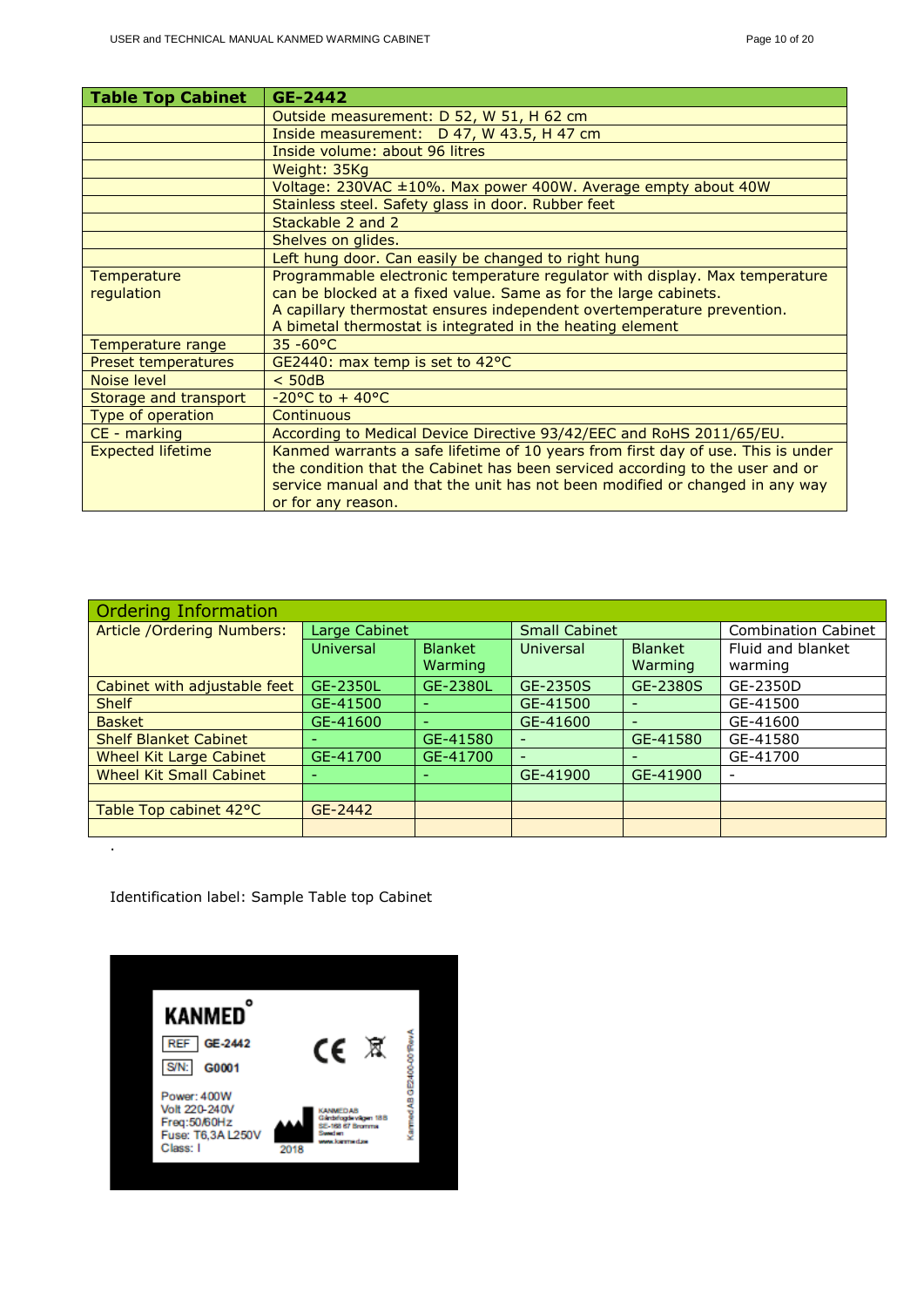| <b>Table Top Cabinet</b> | GE-2442                                                                          |
|--------------------------|----------------------------------------------------------------------------------|
|                          | Outside measurement: D 52, W 51, H 62 cm                                         |
|                          | Inside measurement: D 47, W 43.5, H 47 cm                                        |
|                          | Inside volume: about 96 litres                                                   |
|                          | Weight: 35Kg                                                                     |
|                          | Voltage: 230VAC ±10%. Max power 400W. Average empty about 40W                    |
|                          | Stainless steel. Safety glass in door. Rubber feet                               |
|                          | Stackable 2 and 2                                                                |
|                          | Shelves on glides.                                                               |
|                          | Left hung door. Can easily be changed to right hung                              |
| Temperature              | Programmable electronic temperature regulator with display. Max temperature      |
| regulation               | can be blocked at a fixed value. Same as for the large cabinets.                 |
|                          | A capillary thermostat ensures independent overtemperature prevention.           |
|                          | A bimetal thermostat is integrated in the heating element                        |
| Temperature range        | $35 - 60^{\circ}C$                                                               |
| Preset temperatures      | GE2440: max temp is set to 42°C                                                  |
| Noise level              | $<$ 50dB                                                                         |
| Storage and transport    | $-20$ °C to + 40°C                                                               |
| Type of operation        | Continuous                                                                       |
| CE - marking             | According to Medical Device Directive 93/42/EEC and RoHS 2011/65/EU.             |
| <b>Expected lifetime</b> | Kanmed warrants a safe lifetime of 10 years from first day of use. This is under |
|                          | the condition that the Cabinet has been serviced according to the user and or    |
|                          | service manual and that the unit has not been modified or changed in any way     |
|                          | or for any reason.                                                               |

| <b>Ordering Information</b>    |               |                             |                          |                          |                            |
|--------------------------------|---------------|-----------------------------|--------------------------|--------------------------|----------------------------|
| Article / Ordering Numbers:    | Large Cabinet |                             | <b>Small Cabinet</b>     |                          | <b>Combination Cabinet</b> |
|                                | Universal     | <b>Blanket</b><br>Universal |                          | <b>Blanket</b>           | Fluid and blanket          |
|                                |               | Warming                     |                          | Warming                  | warming                    |
| Cabinet with adjustable feet   | GE-2350L      | GE-2380L                    | GE-2350S                 | GE-2380S                 | GE-2350D                   |
| <b>Shelf</b>                   | GE-41500      |                             | GE-41500                 |                          | GE-41500                   |
| <b>Basket</b>                  | GE-41600      |                             | GE-41600                 | $\overline{\phantom{0}}$ | GE-41600                   |
| <b>Shelf Blanket Cabinet</b>   |               | GE-41580                    |                          | GE-41580                 | GE-41580                   |
| Wheel Kit Large Cabinet        | GE-41700      | GE-41700                    | $\overline{\phantom{0}}$ |                          | GE-41700                   |
| <b>Wheel Kit Small Cabinet</b> |               |                             | GE-41900                 | GE-41900                 | $\overline{\phantom{a}}$   |
|                                |               |                             |                          |                          |                            |
| Table Top cabinet 42°C         | GE-2442       |                             |                          |                          |                            |
|                                |               |                             |                          |                          |                            |

Identification label: Sample Table top Cabinet

.

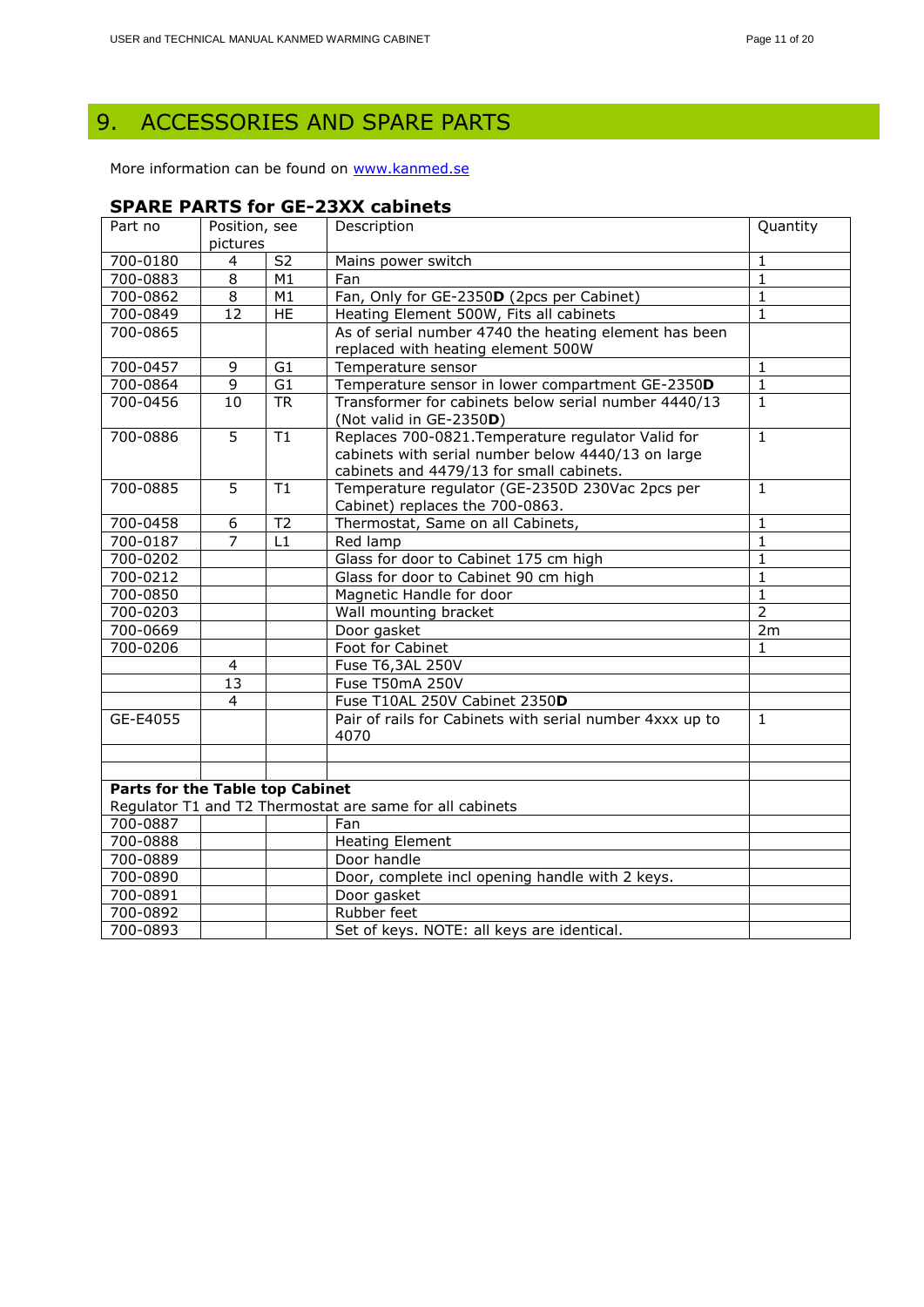# <span id="page-10-0"></span>9. ACCESSORIES AND SPARE PARTS

More information can be found on [www.kanmed.se](http://www.kanmed.se/)

#### **SPARE PARTS for GE-23XX cabinets**

| Part no                         | Position, see<br>Description |                |                                                                                 | Quantity       |
|---------------------------------|------------------------------|----------------|---------------------------------------------------------------------------------|----------------|
|                                 | pictures                     |                |                                                                                 |                |
| 700-0180                        | 4                            | S <sub>2</sub> | Mains power switch                                                              | $\mathbf{1}$   |
| 700-0883                        | $\overline{8}$               | M1             | Fan                                                                             | $\overline{1}$ |
| 700-0862                        | $\overline{8}$               | M1             | Fan, Only for GE-2350D (2pcs per Cabinet)                                       | $\overline{1}$ |
| 700-0849                        | $\overline{12}$              | HE             | Heating Element 500W, Fits all cabinets                                         | $\overline{1}$ |
| 700-0865                        |                              |                | As of serial number 4740 the heating element has been                           |                |
|                                 |                              |                | replaced with heating element 500W                                              |                |
| 700-0457                        | 9                            | G1             | Temperature sensor                                                              | 1              |
| 700-0864                        | $\overline{9}$               | G1             | Temperature sensor in lower compartment GE-2350D                                | $\mathbf{1}$   |
| 700-0456                        | 10                           | <b>TR</b>      | Transformer for cabinets below serial number 4440/13<br>(Not valid in GE-2350D) | $\mathbf{1}$   |
| 700-0886                        | $\overline{5}$               | T1             | Replaces 700-0821. Temperature regulator Valid for                              | $\overline{1}$ |
|                                 |                              |                | cabinets with serial number below 4440/13 on large                              |                |
|                                 |                              |                | cabinets and 4479/13 for small cabinets.                                        |                |
| 700-0885                        | 5                            | T1             | Temperature regulator (GE-2350D 230Vac 2pcs per                                 | $\mathbf{1}$   |
|                                 |                              |                | Cabinet) replaces the 700-0863.                                                 |                |
| 700-0458                        | 6                            | T <sub>2</sub> | Thermostat, Same on all Cabinets,                                               | $\mathbf{1}$   |
| 700-0187                        | $\overline{7}$               | L1             | Red lamp                                                                        | $\mathbf{1}$   |
| 700-0202                        |                              |                | Glass for door to Cabinet 175 cm high                                           | $\mathbf{1}$   |
| 700-0212                        |                              |                | Glass for door to Cabinet 90 cm high                                            | $\mathbf{1}$   |
| 700-0850                        |                              |                | Magnetic Handle for door                                                        | $\mathbf{1}$   |
| 700-0203                        |                              |                | Wall mounting bracket                                                           | $\overline{2}$ |
| 700-0669                        |                              |                | Door gasket                                                                     | 2m             |
| 700-0206                        |                              |                | Foot for Cabinet                                                                | $\mathbf{1}$   |
|                                 | 4                            |                | Fuse T6,3AL 250V                                                                |                |
|                                 | 13                           |                | Fuse T50mA 250V                                                                 |                |
|                                 | $\overline{4}$               |                | Fuse T10AL 250V Cabinet 2350D                                                   |                |
| GE-E4055                        |                              |                | Pair of rails for Cabinets with serial number 4xxx up to<br>4070                | $\mathbf{1}$   |
|                                 |                              |                |                                                                                 |                |
|                                 |                              |                |                                                                                 |                |
| Parts for the Table top Cabinet |                              |                |                                                                                 |                |
|                                 |                              |                | Regulator T1 and T2 Thermostat are same for all cabinets                        |                |
| 700-0887                        |                              |                | Fan                                                                             |                |
| 700-0888                        |                              |                | <b>Heating Element</b>                                                          |                |
| 700-0889                        |                              |                | Door handle                                                                     |                |
| 700-0890                        |                              |                | Door, complete incl opening handle with 2 keys.                                 |                |
| 700-0891                        |                              |                | Door gasket                                                                     |                |
| 700-0892                        |                              |                | Rubber feet                                                                     |                |
| 700-0893                        |                              |                | Set of keys. NOTE: all keys are identical.                                      |                |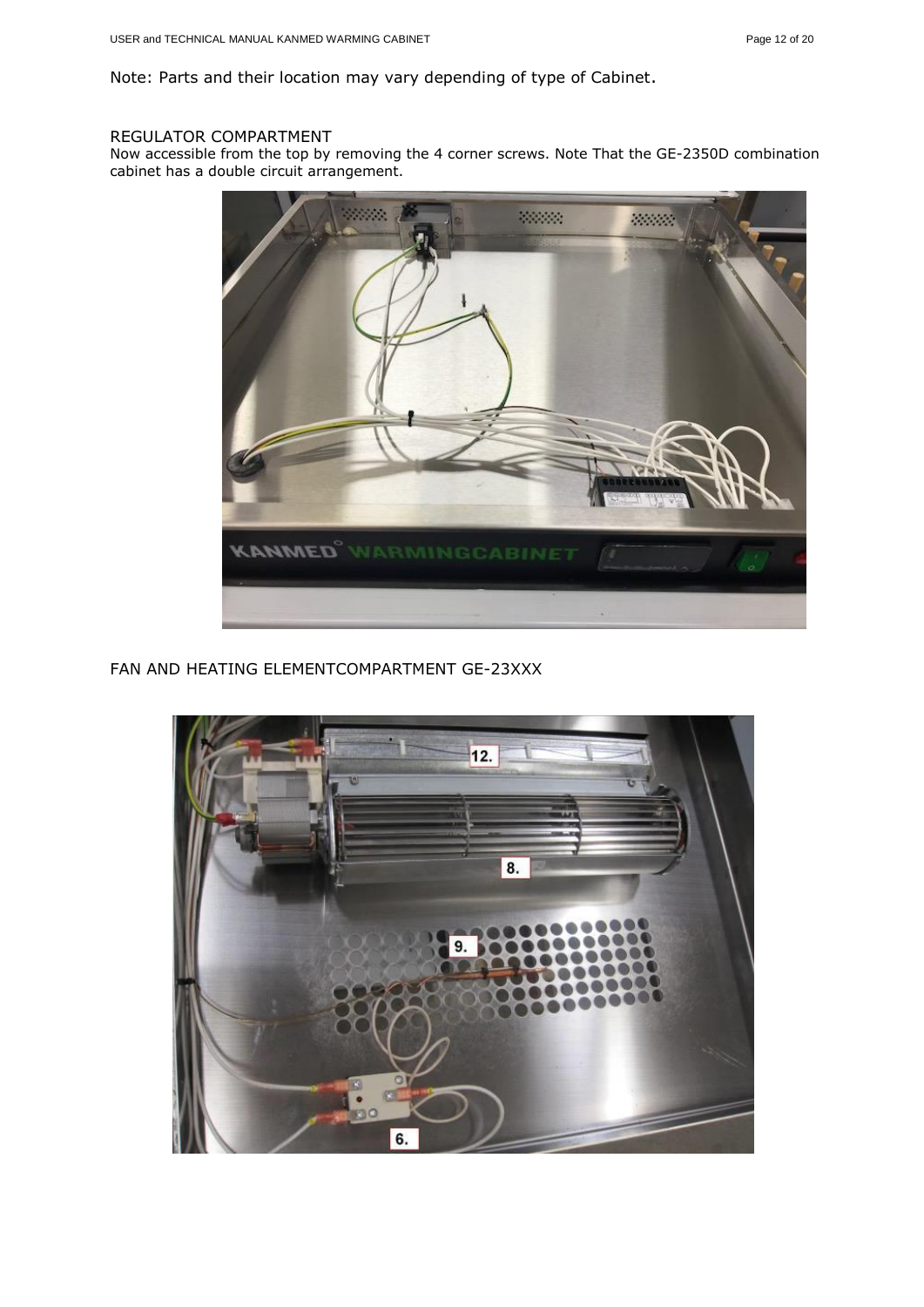Note: Parts and their location may vary depending of type of Cabinet.

#### REGULATOR COMPARTMENT

Now accessible from the top by removing the 4 corner screws. Note That the GE-2350D combination cabinet has a double circuit arrangement.



FAN AND HEATING ELEMENTCOMPARTMENT GE-23XXX

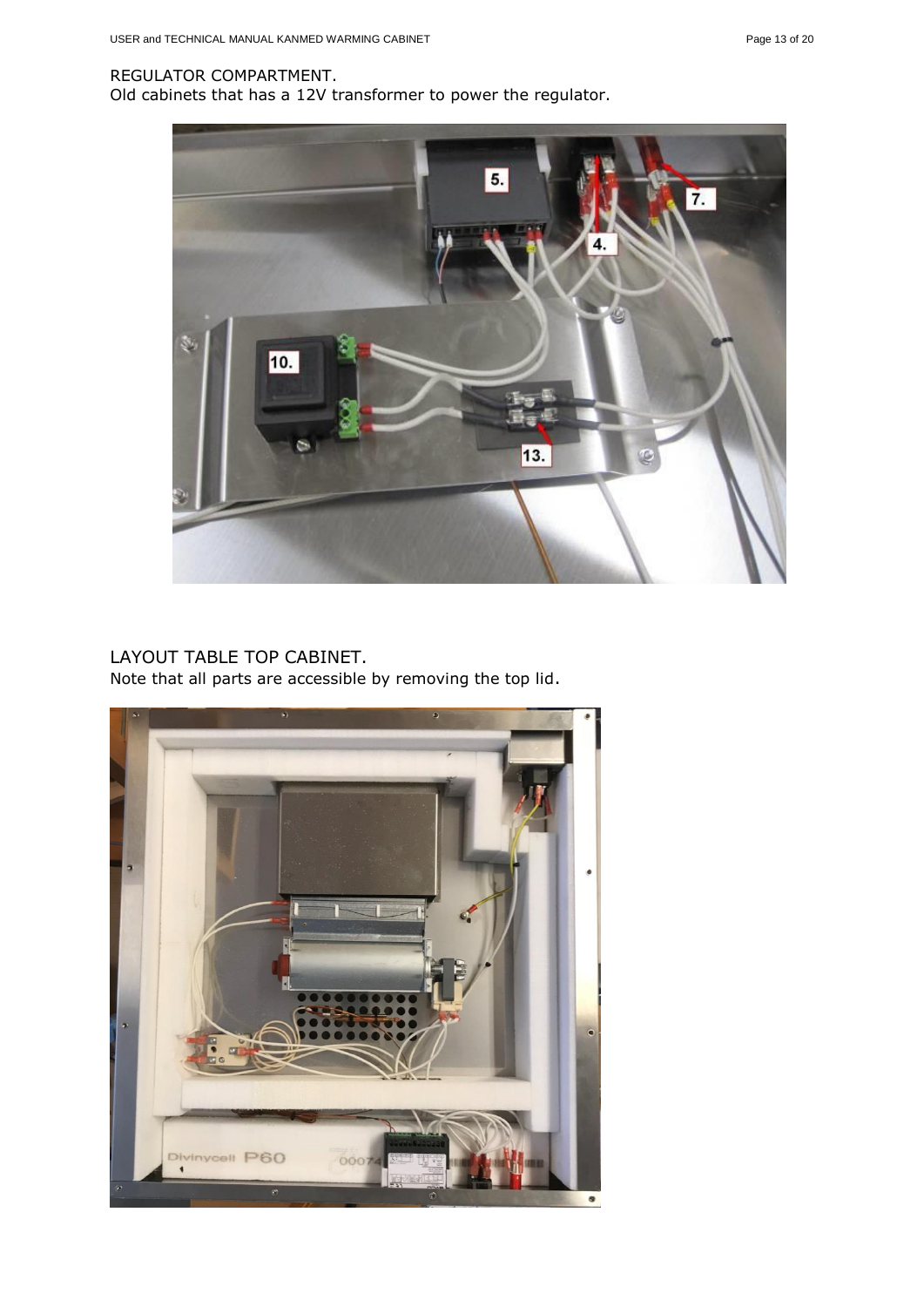#### REGULATOR COMPARTMENT.

Old cabinets that has a 12V transformer to power the regulator.



#### LAYOUT TABLE TOP CABINET. Note that all parts are accessible by removing the top lid.

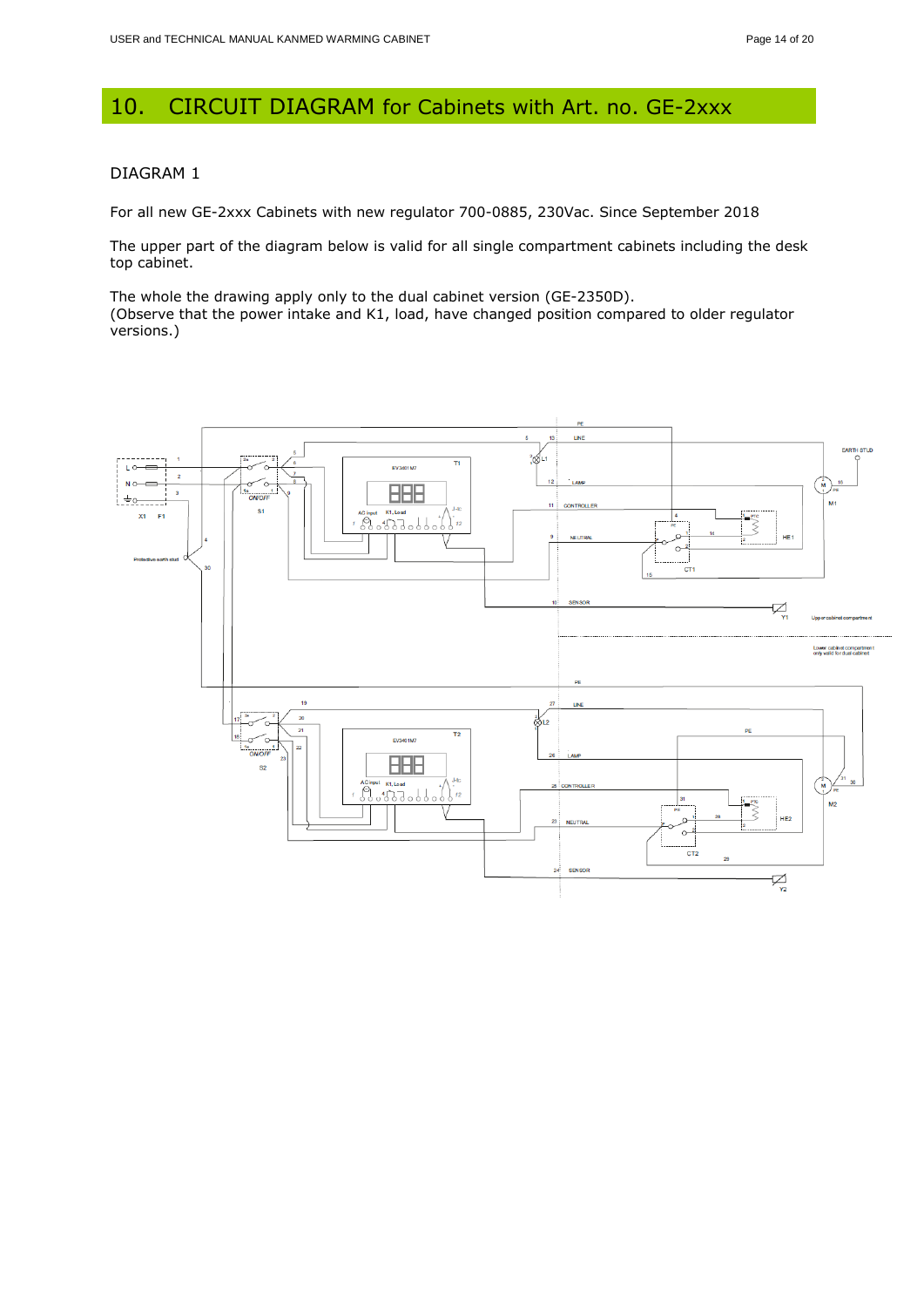# <span id="page-13-0"></span>10. CIRCUIT DIAGRAM for Cabinets with Art. no. GE-2xxx

#### DIAGRAM 1

For all new GE-2xxx Cabinets with new regulator 700-0885, 230Vac. Since September 2018

The upper part of the diagram below is valid for all single compartment cabinets including the desk top cabinet.

The whole the drawing apply only to the dual cabinet version (GE-2350D). (Observe that the power intake and K1, load, have changed position compared to older regulator versions.)

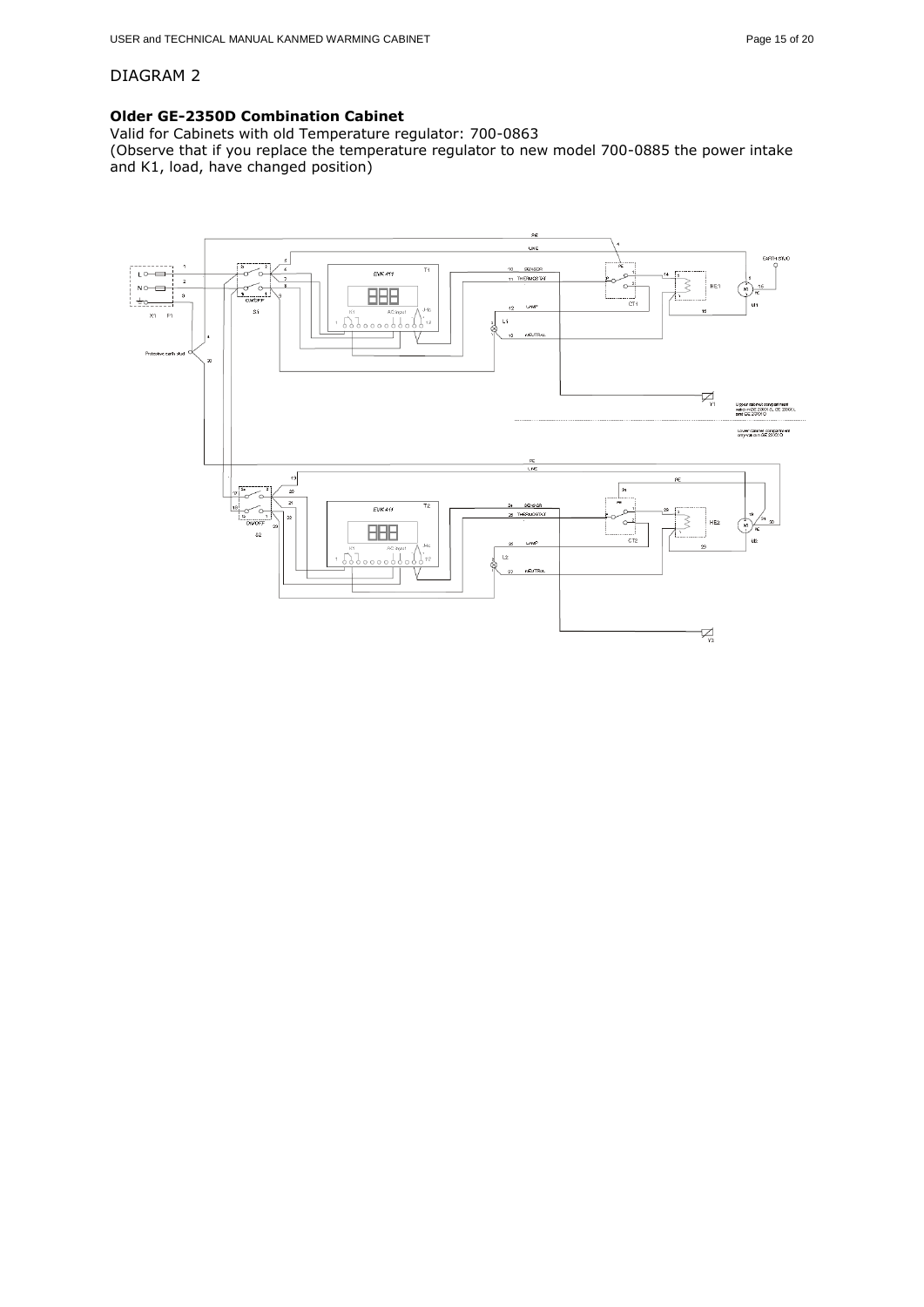#### DIAGRAM 2

#### **Older GE-2350D Combination Cabinet**

Valid for Cabinets with old Temperature regulator: 700-0863

(Observe that if you replace the temperature regulator to new model 700-0885 the power intake and K1, load, have changed position)

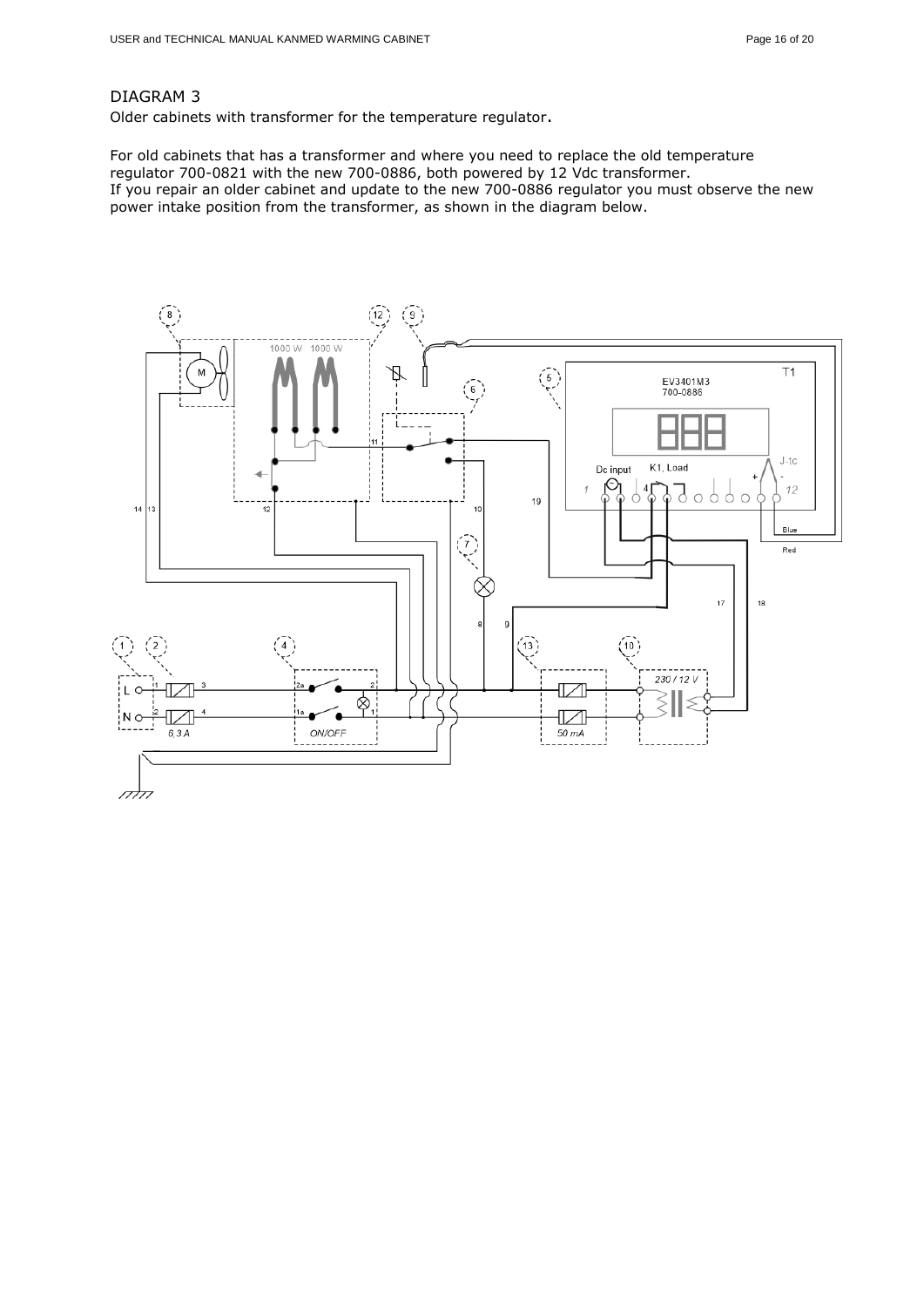#### DIAGRAM 3

Older cabinets with transformer for the temperature regulator.

For old cabinets that has a transformer and where you need to replace the old temperature regulator 700-0821 with the new 700-0886, both powered by 12 Vdc transformer. If you repair an older cabinet and update to the new 700-0886 regulator you must observe the new power intake position from the transformer, as shown in the diagram below.

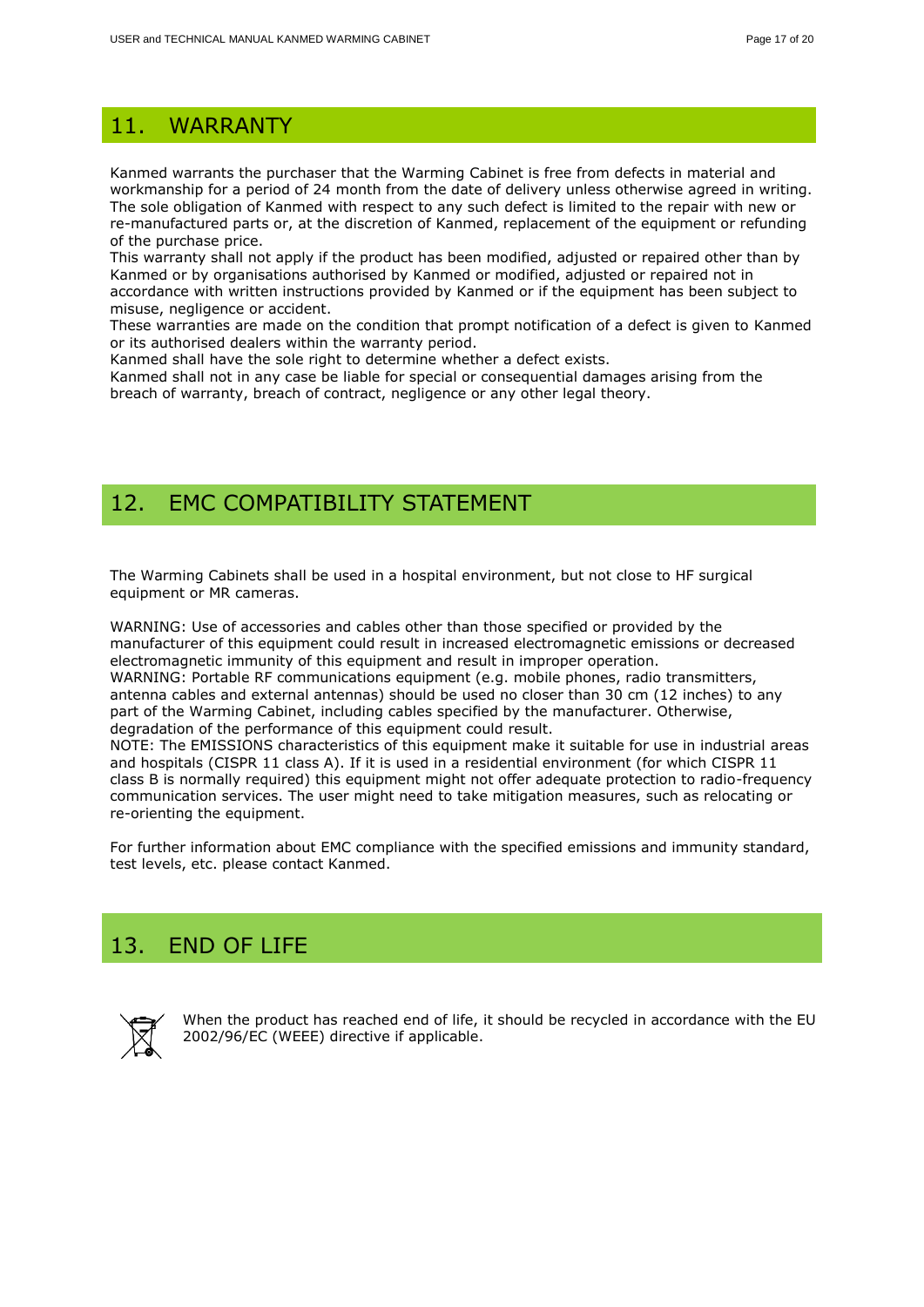# <span id="page-16-0"></span>11. WARRANTY

Kanmed warrants the purchaser that the Warming Cabinet is free from defects in material and workmanship for a period of 24 month from the date of delivery unless otherwise agreed in writing. The sole obligation of Kanmed with respect to any such defect is limited to the repair with new or re-manufactured parts or, at the discretion of Kanmed, replacement of the equipment or refunding of the purchase price.

This warranty shall not apply if the product has been modified, adjusted or repaired other than by Kanmed or by organisations authorised by Kanmed or modified, adjusted or repaired not in accordance with written instructions provided by Kanmed or if the equipment has been subject to misuse, negligence or accident.

These warranties are made on the condition that prompt notification of a defect is given to Kanmed or its authorised dealers within the warranty period.

Kanmed shall have the sole right to determine whether a defect exists.

Kanmed shall not in any case be liable for special or consequential damages arising from the breach of warranty, breach of contract, negligence or any other legal theory.

# <span id="page-16-1"></span>12. EMC COMPATIBILITY STATEMENT

The Warming Cabinets shall be used in a hospital environment, but not close to HF surgical equipment or MR cameras.

WARNING: Use of accessories and cables other than those specified or provided by the manufacturer of this equipment could result in increased electromagnetic emissions or decreased electromagnetic immunity of this equipment and result in improper operation. WARNING: Portable RF communications equipment (e.g. mobile phones, radio transmitters, antenna cables and external antennas) should be used no closer than 30 cm (12 inches) to any

part of the Warming Cabinet, including cables specified by the manufacturer. Otherwise, degradation of the performance of this equipment could result.

NOTE: The EMISSIONS characteristics of this equipment make it suitable for use in industrial areas and hospitals (CISPR 11 class A). If it is used in a residential environment (for which CISPR 11 class B is normally required) this equipment might not offer adequate protection to radio-frequency communication services. The user might need to take mitigation measures, such as relocating or re-orienting the equipment.

For further information about EMC compliance with the specified emissions and immunity standard, test levels, etc. please contact Kanmed.

# <span id="page-16-2"></span>13. END OF LIFE



When the product has reached end of life, it should be recycled in accordance with the EU 2002/96/EC (WEEE) directive if applicable.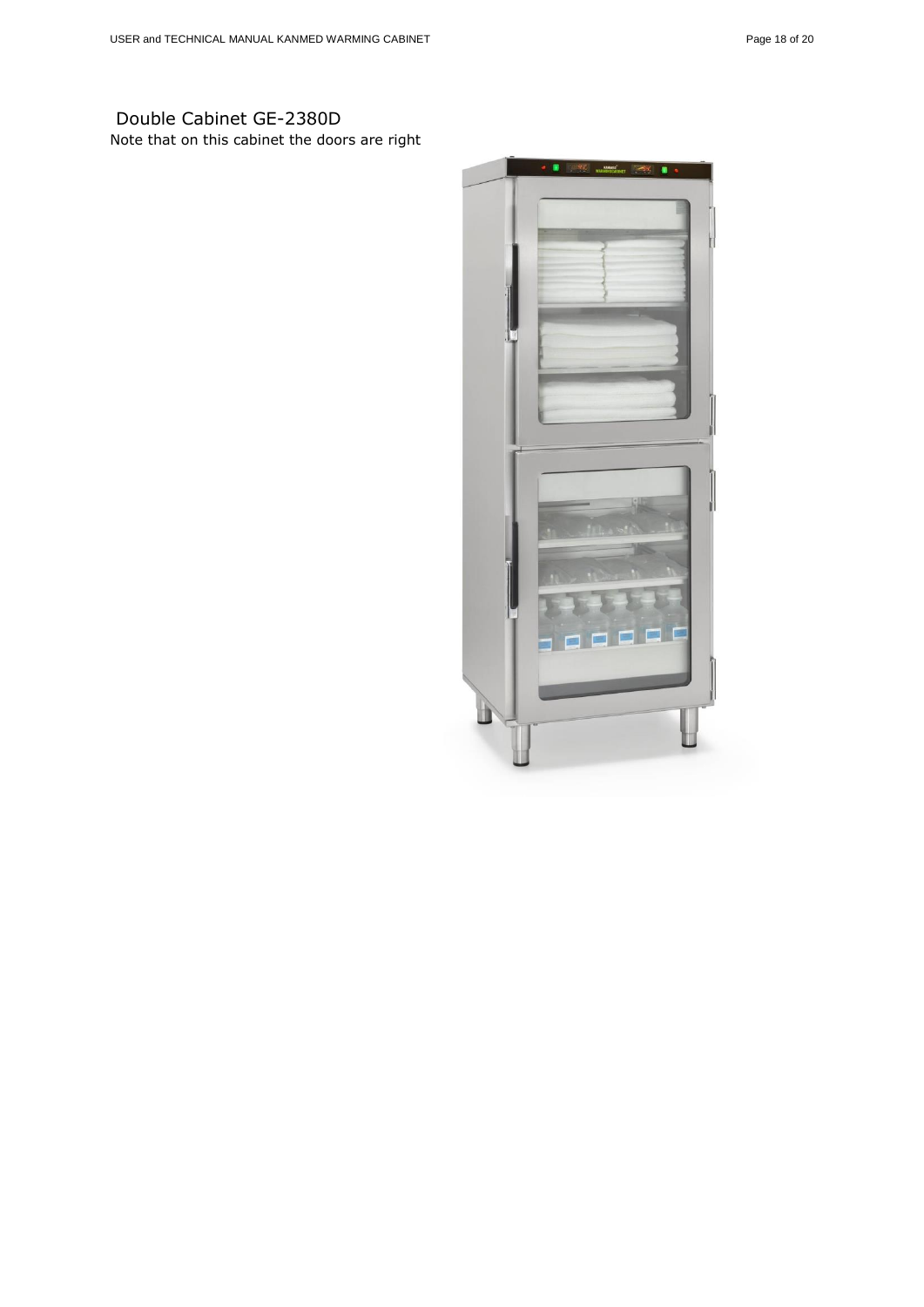## Double Cabinet GE-2380D Note that on this cabinet the doors are right

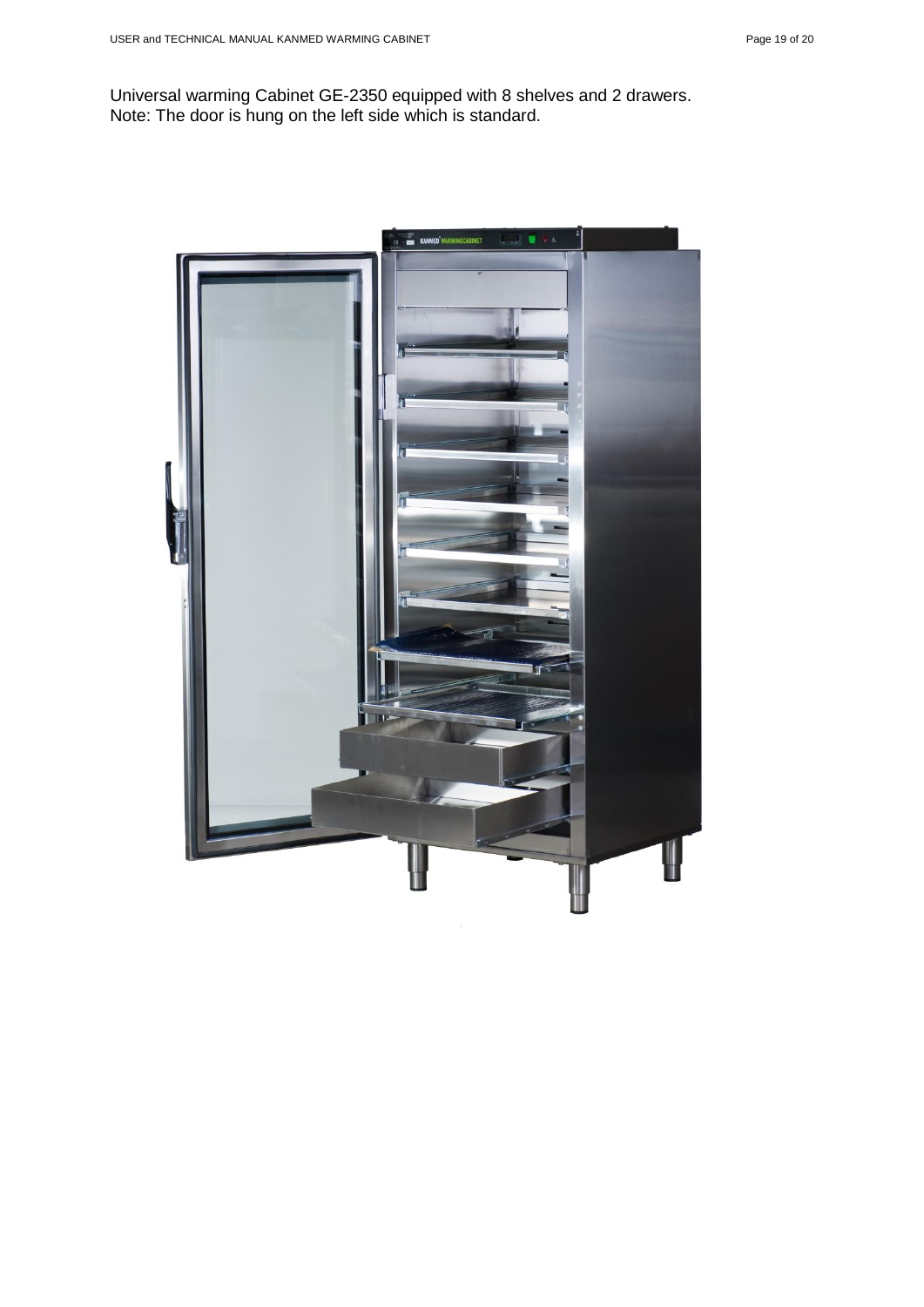Universal warming Cabinet GE-2350 equipped with 8 shelves and 2 drawers. Note: The door is hung on the left side which is standard.